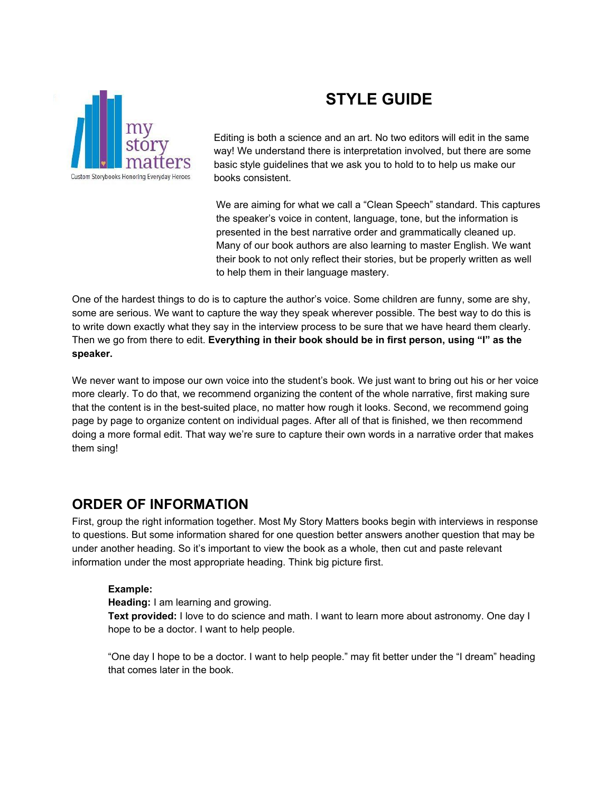

# **STYLE GUIDE**

Editing is both a science and an art. No two editors will edit in the same way! We understand there is interpretation involved, but there are some basic style guidelines that we ask you to hold to to help us make our books consistent.

We are aiming for what we call a "Clean Speech" standard. This captures the speaker's voice in content, language, tone, but the information is presented in the best narrative order and grammatically cleaned up. Many of our book authors are also learning to master English. We want their book to not only reflect their stories, but be properly written as well to help them in their language mastery.

One of the hardest things to do is to capture the author's voice. Some children are funny, some are shy, some are serious. We want to capture the way they speak wherever possible. The best way to do this is to write down exactly what they say in the interview process to be sure that we have heard them clearly. Then we go from there to edit. **Everything in their book should be in first person, using "I" as the speaker.**

We never want to impose our own voice into the student's book. We just want to bring out his or her voice more clearly. To do that, we recommend organizing the content of the whole narrative, first making sure that the content is in the best-suited place, no matter how rough it looks. Second, we recommend going page by page to organize content on individual pages. After all of that is finished, we then recommend doing a more formal edit. That way we're sure to capture their own words in a narrative order that makes them sing!

## **ORDER OF INFORMATION**

First, group the right information together. Most My Story Matters books begin with interviews in response to questions. But some information shared for one question better answers another question that may be under another heading. So it's important to view the book as a whole, then cut and paste relevant information under the most appropriate heading. Think big picture first.

#### **Example:**

**Heading:** I am learning and growing.

**Text provided:** I love to do science and math. I want to learn more about astronomy. One day I hope to be a doctor. I want to help people.

"One day I hope to be a doctor. I want to help people." may fit better under the "I dream" heading that comes later in the book.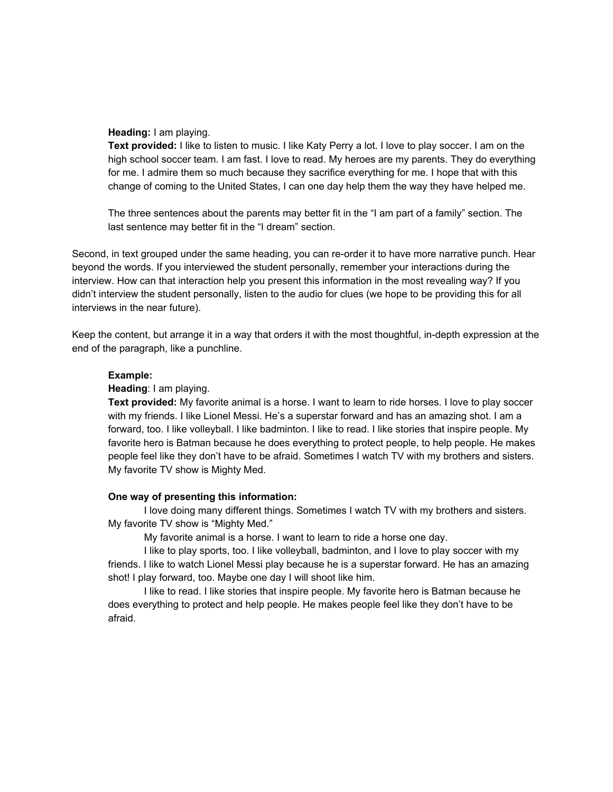#### **Heading:** I am playing.

**Text provided:** I like to listen to music. I like Katy Perry a lot. I love to play soccer. I am on the high school soccer team. I am fast. I love to read. My heroes are my parents. They do everything for me. I admire them so much because they sacrifice everything for me. I hope that with this change of coming to the United States, I can one day help them the way they have helped me.

The three sentences about the parents may better fit in the "I am part of a family" section. The last sentence may better fit in the "I dream" section.

Second, in text grouped under the same heading, you can re-order it to have more narrative punch. Hear beyond the words. If you interviewed the student personally, remember your interactions during the interview. How can that interaction help you present this information in the most revealing way? If you didn't interview the student personally, listen to the audio for clues (we hope to be providing this for all interviews in the near future).

Keep the content, but arrange it in a way that orders it with the most thoughtful, in-depth expression at the end of the paragraph, like a punchline.

#### **Example:**

#### **Heading**: I am playing.

**Text provided:** My favorite animal is a horse. I want to learn to ride horses. I love to play soccer with my friends. I like Lionel Messi. He's a superstar forward and has an amazing shot. I am a forward, too. I like volleyball. I like badminton. I like to read. I like stories that inspire people. My favorite hero is Batman because he does everything to protect people, to help people. He makes people feel like they don't have to be afraid. Sometimes I watch TV with my brothers and sisters. My favorite TV show is Mighty Med.

#### **One way of presenting this information:**

I love doing many different things. Sometimes I watch TV with my brothers and sisters. My favorite TV show is "Mighty Med."

My favorite animal is a horse. I want to learn to ride a horse one day.

I like to play sports, too. I like volleyball, badminton, and I love to play soccer with my friends. I like to watch Lionel Messi play because he is a superstar forward. He has an amazing shot! I play forward, too. Maybe one day I will shoot like him.

I like to read. I like stories that inspire people. My favorite hero is Batman because he does everything to protect and help people. He makes people feel like they don't have to be afraid.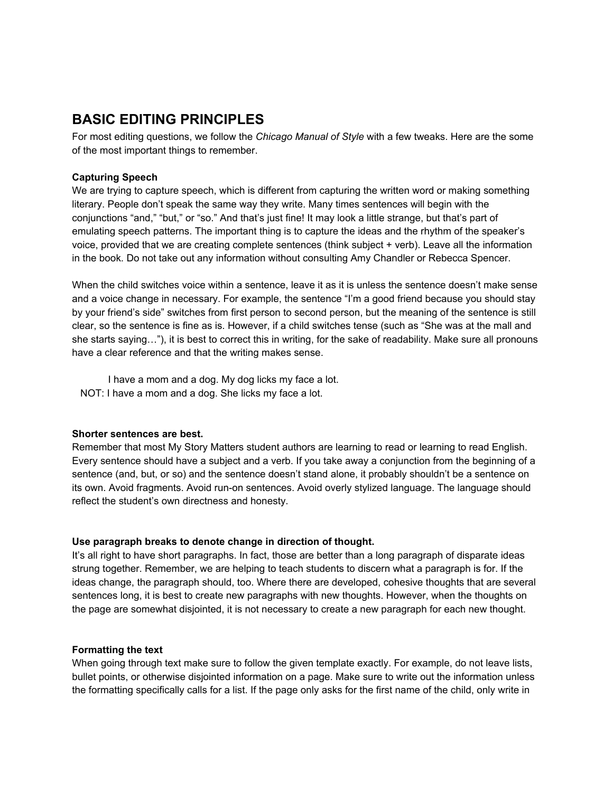# **BASIC EDITING PRINCIPLES**

For most editing questions, we follow the *Chicago Manual of Style* with a few tweaks. Here are the some of the most important things to remember.

#### **Capturing Speech**

We are trying to capture speech, which is different from capturing the written word or making something literary. People don't speak the same way they write. Many times sentences will begin with the conjunctions "and," "but," or "so." And that's just fine! It may look a little strange, but that's part of emulating speech patterns. The important thing is to capture the ideas and the rhythm of the speaker's voice, provided that we are creating complete sentences (think subject + verb). Leave all the information in the book. Do not take out any information without consulting Amy Chandler or Rebecca Spencer.

When the child switches voice within a sentence, leave it as it is unless the sentence doesn't make sense and a voice change in necessary. For example, the sentence "I'm a good friend because you should stay by your friend's side" switches from first person to second person, but the meaning of the sentence is still clear, so the sentence is fine as is. However, if a child switches tense (such as "She was at the mall and she starts saying…"), it is best to correct this in writing, for the sake of readability. Make sure all pronouns have a clear reference and that the writing makes sense.

I have a mom and a dog. My dog licks my face a lot. NOT: I have a mom and a dog. She licks my face a lot.

#### **Shorter sentences are best.**

Remember that most My Story Matters student authors are learning to read or learning to read English. Every sentence should have a subject and a verb. If you take away a conjunction from the beginning of a sentence (and, but, or so) and the sentence doesn't stand alone, it probably shouldn't be a sentence on its own. Avoid fragments. Avoid run-on sentences. Avoid overly stylized language. The language should reflect the student's own directness and honesty.

#### **Use paragraph breaks to denote change in direction of thought.**

It's all right to have short paragraphs. In fact, those are better than a long paragraph of disparate ideas strung together. Remember, we are helping to teach students to discern what a paragraph is for. If the ideas change, the paragraph should, too. Where there are developed, cohesive thoughts that are several sentences long, it is best to create new paragraphs with new thoughts. However, when the thoughts on the page are somewhat disjointed, it is not necessary to create a new paragraph for each new thought.

#### **Formatting the text**

When going through text make sure to follow the given template exactly. For example, do not leave lists, bullet points, or otherwise disjointed information on a page. Make sure to write out the information unless the formatting specifically calls for a list. If the page only asks for the first name of the child, only write in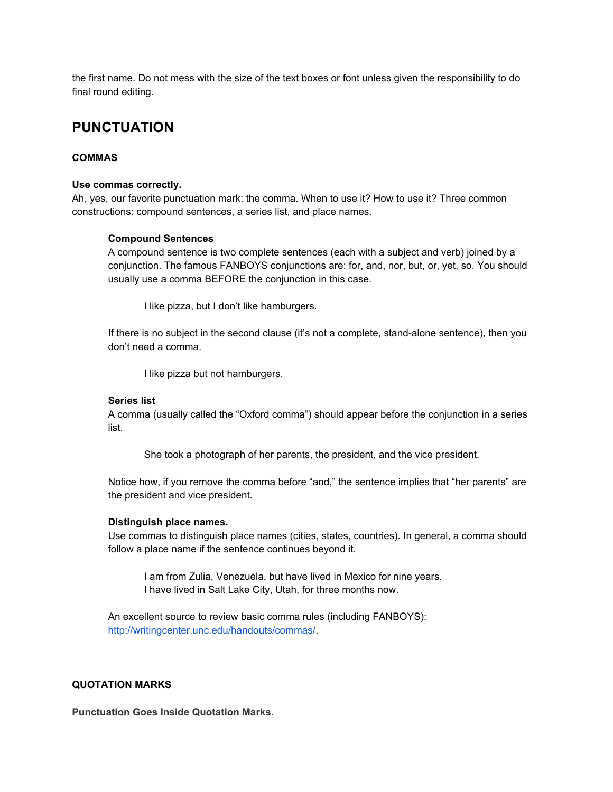the first name. Do not mess with the size of the text boxes or font unless given the responsibility to do final round editing.

### **PUNCTUATION**

#### **COMMAS**

#### **Use commas correctly.**

Ah, yes, our favorite punctuation mark: the comma. When to use it? How to use it? Three common constructions: compound sentences, a series list, and place names.

#### **Compound Sentences**

A compound sentence is two complete sentences (each with a subject and verb) joined by a conjunction. The famous FANBOYS conjunctions are: for, and, nor, but, or, yet, so. You should usually use a comma BEFORE the conjunction in this case.

I like pizza, but I don't like hamburgers.

If there is no subject in the second clause (it's not a complete, stand-alone sentence), then you don't need a comma.

I like pizza but not hamburgers.

#### **Series list**

A comma (usually called the "Oxford comma") should appear before the conjunction in a series list.

She took a photograph of her parents, the president, and the vice president.

Notice how, if you remove the comma before "and," the sentence implies that "her parents" are the president and vice president.

#### **Distinguish place names.**

Use commas to distinguish place names (cities, states, countries). In general, a comma should follow a place name if the sentence continues beyond it.

I am from Zulia, Venezuela, but have lived in Mexico for nine years. I have lived in Salt Lake City, Utah, for three months now.

An excellent source to review basic comma rules (including FANBOYS): <http://writingcenter.unc.edu/handouts/commas/>.

#### **QUOTATION MARKS**

**Punctuation Goes Inside Quotation Marks.**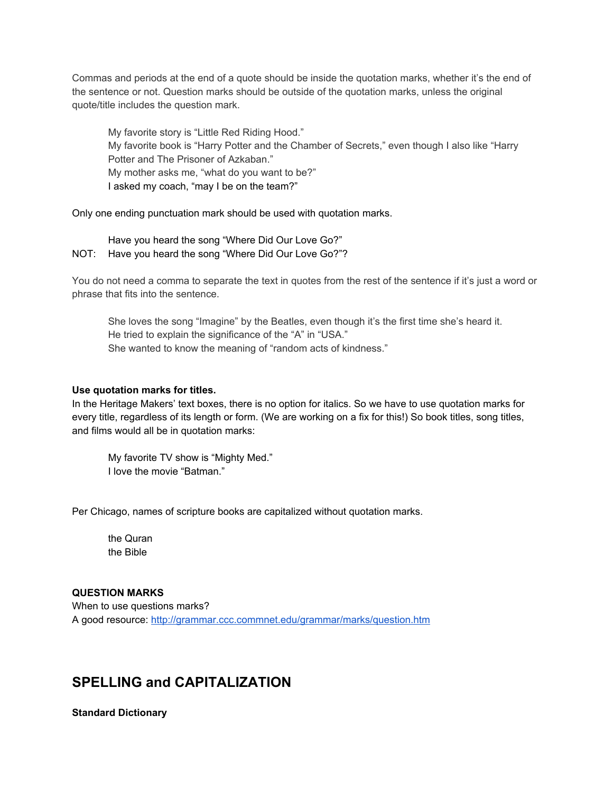Commas and periods at the end of a quote should be inside the quotation marks, whether it's the end of the sentence or not. Question marks should be outside of the quotation marks, unless the original quote/title includes the question mark.

My favorite story is "Little Red Riding Hood." My favorite book is "Harry Potter and the Chamber of Secrets," even though I also like "Harry Potter and The Prisoner of Azkaban." My mother asks me, "what do you want to be?" I asked my coach, "may I be on the team?"

Only one ending punctuation mark should be used with quotation marks.

Have you heard the song "Where Did Our Love Go?" NOT: Have you heard the song "Where Did Our Love Go?"?

You do not need a comma to separate the text in quotes from the rest of the sentence if it's just a word or phrase that fits into the sentence.

She loves the song "Imagine" by the Beatles, even though it's the first time she's heard it. He tried to explain the significance of the "A" in "USA." She wanted to know the meaning of "random acts of kindness."

#### **Use quotation marks for titles.**

In the Heritage Makers' text boxes, there is no option for italics. So we have to use quotation marks for every title, regardless of its length or form. (We are working on a fix for this!) So book titles, song titles, and films would all be in quotation marks:

My favorite TV show is "Mighty Med." I love the movie "Batman."

Per Chicago, names of scripture books are capitalized without quotation marks.

the Quran the Bible

#### **QUESTION MARKS**

When to use questions marks? A good resource: <http://grammar.ccc.commnet.edu/grammar/marks/question.htm>

### **SPELLING and CAPITALIZATION**

**Standard Dictionary**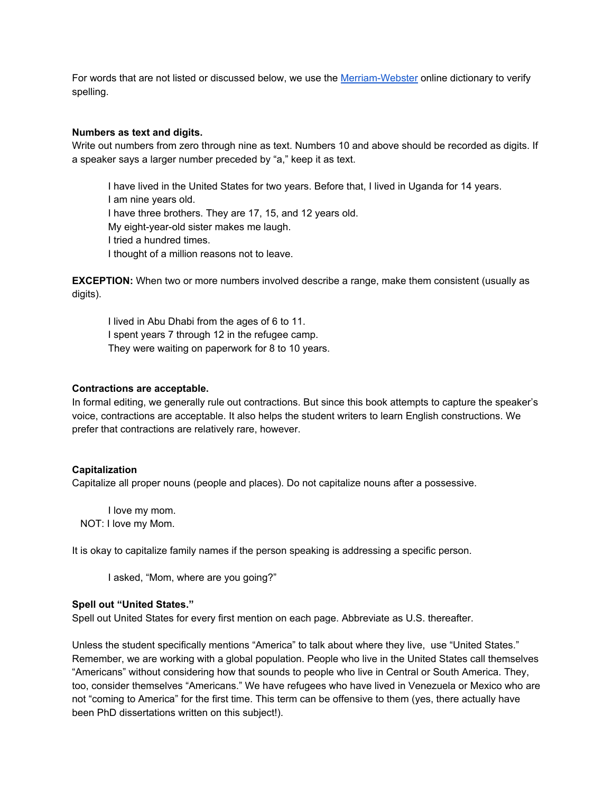For words that are not listed or discussed below, we use the [Merriam-Webster](http://www.merriam-webster.com/) online dictionary to verify spelling.

#### **Numbers as text and digits.**

Write out numbers from zero through nine as text. Numbers 10 and above should be recorded as digits. If a speaker says a larger number preceded by "a," keep it as text.

I have lived in the United States for two years. Before that, I lived in Uganda for 14 years. I am nine years old. I have three brothers. They are 17, 15, and 12 years old. My eight-year-old sister makes me laugh. I tried a hundred times. I thought of a million reasons not to leave.

**EXCEPTION:** When two or more numbers involved describe a range, make them consistent (usually as digits).

I lived in Abu Dhabi from the ages of 6 to 11. I spent years 7 through 12 in the refugee camp. They were waiting on paperwork for 8 to 10 years.

#### **Contractions are acceptable.**

In formal editing, we generally rule out contractions. But since this book attempts to capture the speaker's voice, contractions are acceptable. It also helps the student writers to learn English constructions. We prefer that contractions are relatively rare, however.

#### **Capitalization**

Capitalize all proper nouns (people and places). Do not capitalize nouns after a possessive.

I love my mom. NOT: I love my Mom.

It is okay to capitalize family names if the person speaking is addressing a specific person.

I asked, "Mom, where are you going?"

#### **Spell out "United States."**

Spell out United States for every first mention on each page. Abbreviate as U.S. thereafter.

Unless the student specifically mentions "America" to talk about where they live, use "United States." Remember, we are working with a global population. People who live in the United States call themselves "Americans" without considering how that sounds to people who live in Central or South America. They, too, consider themselves "Americans." We have refugees who have lived in Venezuela or Mexico who are not "coming to America" for the first time. This term can be offensive to them (yes, there actually have been PhD dissertations written on this subject!).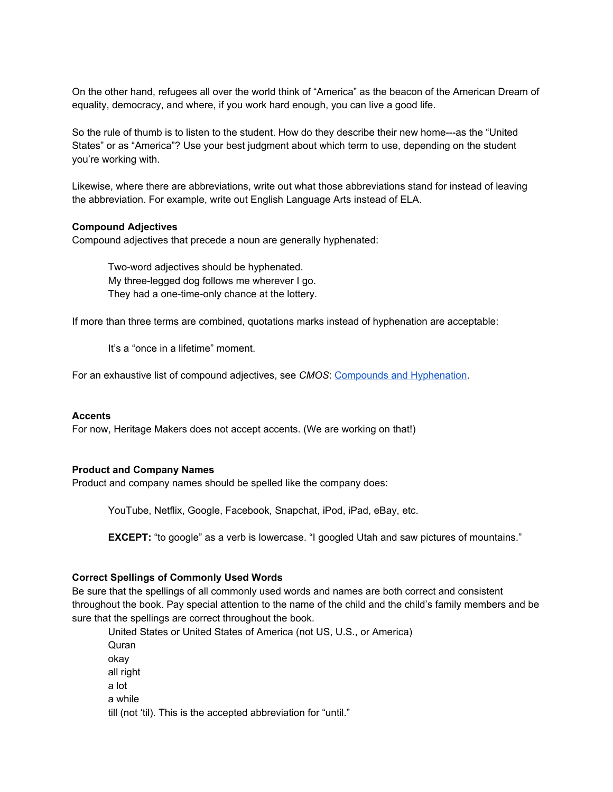On the other hand, refugees all over the world think of "America" as the beacon of the American Dream of equality, democracy, and where, if you work hard enough, you can live a good life.

So the rule of thumb is to listen to the student. How do they describe their new home---as the "United States" or as "America"? Use your best judgment about which term to use, depending on the student you're working with.

Likewise, where there are abbreviations, write out what those abbreviations stand for instead of leaving the abbreviation. For example, write out English Language Arts instead of ELA.

#### **Compound Adjectives**

Compound adjectives that precede a noun are generally hyphenated:

Two-word adjectives should be hyphenated. My three-legged dog follows me wherever I go. They had a one-time-only chance at the lottery.

If more than three terms are combined, quotations marks instead of hyphenation are acceptable:

It's a "once in a lifetime" moment.

For an exhaustive list of compound adjectives, see *CMOS*: Compounds and [Hyphenation](http://www.chicagomanualofstyle.org/16/images/ch07_tab01.pdf).

#### **Accents**

For now, Heritage Makers does not accept accents. (We are working on that!)

#### **Product and Company Names**

Product and company names should be spelled like the company does:

YouTube, Netflix, Google, Facebook, Snapchat, iPod, iPad, eBay, etc.

**EXCEPT:** "to google" as a verb is lowercase. "I googled Utah and saw pictures of mountains."

#### **Correct Spellings of Commonly Used Words**

Be sure that the spellings of all commonly used words and names are both correct and consistent throughout the book. Pay special attention to the name of the child and the child's family members and be sure that the spellings are correct throughout the book.

United States or United States of America (not US, U.S., or America) Quran okay all right a lot a while till (not 'til). This is the accepted abbreviation for "until."